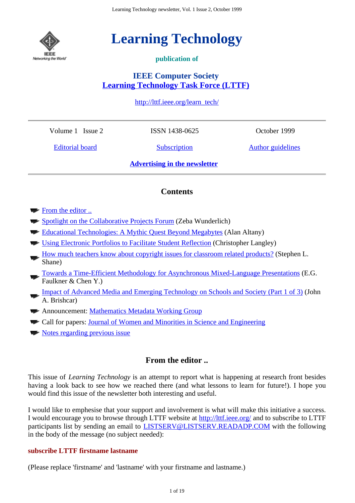

# **Learning Technology**

# **publication of**

# **IEEE Computer Society Learning Technology Task Force (LTTF)**

## http://lttf.ieee.org/learn\_tech/

Volume 1 Issue 2

ISSN 1438-0625

October 1999

Editorial board

**Subscription** 

Author guidelines

**Advertising in the newsletter**

# **Contents**

- From the editor ...
- Spotlight on the Collaborative Projects Forum (Zeba Wunderlich)
- Educational Technologies: A Mythic Quest Beyond Megabytes (Alan Altany)
- Using Electronic Portfolios to Facilitate Student Reflection (Christopher Langley)
- How much teachers know about copyright issues for classroom related products? (Stephen L. Shane)
- Towards a Time-Efficient Methodology for Asynchronous Mixed-Language Presentations (E.G. Faulkner & Chen Y.)
- Impact of Advanced Media and Emerging Technology on Schools and Society (Part 1 of 3) (John A. Brishcar)
- Announcement: Mathematics Metadata Working Group
- Call for papers: Journal of Women and Minorities in Science and Engineering
- Notes regarding previous issue

# **From the editor ..**

This issue of *Learning Technology* is an attempt to report what is happening at research front besides having a look back to see how we reached there (and what lessons to learn for future!). I hope you would find this issue of the newsletter both interesting and useful.

I would like to emphesise that your support and involvement is what will make this initiative a success. I would encourage you to browse through LTTF website at http://lttf.ieee.org/ and to subscribe to LTTF participants list by sending an email to **LISTSERV@LISTSERV.READADP.COM** with the following in the body of the message (no subject needed):

## **subscribe LTTF firstname lastname**

(Please replace 'firstname' and 'lastname' with your firstname and lastname.)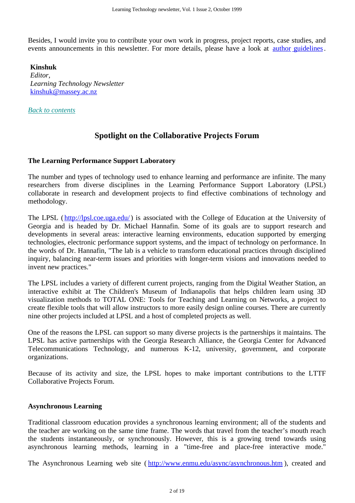Besides, I would invite you to contribute your own work in progress, project reports, case studies, and events announcements in this newsletter. For more details, please have a look at author guidelines.

## **Kinshuk**

*Editor, Learning Technology Newsletter* kinshuk@massey.ac.nz

*Back to contents*

# **Spotlight on the Collaborative Projects Forum**

## **The Learning Performance Support Laboratory**

The number and types of technology used to enhance learning and performance are infinite. The many researchers from diverse disciplines in the Learning Performance Support Laboratory (LPSL) collaborate in research and development projects to find effective combinations of technology and methodology.

The LPSL (http://lpsl.coe.uga.edu/) is associated with the College of Education at the University of Georgia and is headed by Dr. Michael Hannafin. Some of its goals are to support research and developments in several areas: interactive learning environments, education supported by emerging technologies, electronic performance support systems, and the impact of technology on performance. In the words of Dr. Hannafin, "The lab is a vehicle to transform educational practices through disciplined inquiry, balancing near-term issues and priorities with longer-term visions and innovations needed to invent new practices."

The LPSL includes a variety of different current projects, ranging from the Digital Weather Station, an interactive exhibit at The Children's Museum of Indianapolis that helps children learn using 3D visualization methods to TOTAL ONE: Tools for Teaching and Learning on Networks, a project to create flexible tools that will allow instructors to more easily design online courses. There are currently nine other projects included at LPSL and a host of completed projects as well.

One of the reasons the LPSL can support so many diverse projects is the partnerships it maintains. The LPSL has active partnerships with the Georgia Research Alliance, the Georgia Center for Advanced Telecommunications Technology, and numerous K-12, university, government, and corporate organizations.

Because of its activity and size, the LPSL hopes to make important contributions to the LTTF Collaborative Projects Forum.

## **Asynchronous Learning**

Traditional classroom education provides a synchronous learning environment; all of the students and the teacher are working on the same time frame. The words that travel from the teacher's mouth reach the students instantaneously, or synchronously. However, this is a growing trend towards using asynchronous learning methods, learning in a "time-free and place-free interactive mode."

The Asynchronous Learning web site (http://www.enmu.edu/async/asynchronous.htm), created and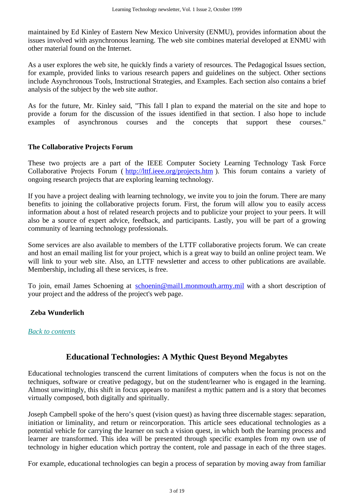maintained by Ed Kinley of Eastern New Mexico University (ENMU), provides information about the issues involved with asynchronous learning. The web site combines material developed at ENMU with other material found on the Internet.

As a user explores the web site, he quickly finds a variety of resources. The Pedagogical Issues section, for example, provided links to various research papers and guidelines on the subject. Other sections include Asynchronous Tools, Instructional Strategies, and Examples. Each section also contains a brief analysis of the subject by the web site author.

As for the future, Mr. Kinley said, "This fall I plan to expand the material on the site and hope to provide a forum for the discussion of the issues identified in that section. I also hope to include examples of asynchronous courses and the concepts that support these courses."

## **The Collaborative Projects Forum**

These two projects are a part of the IEEE Computer Society Learning Technology Task Force Collaborative Projects Forum ( http://lttf.ieee.org/projects.htm ). This forum contains a variety of ongoing research projects that are exploring learning technology.

If you have a project dealing with learning technology, we invite you to join the forum. There are many benefits to joining the collaborative projects forum. First, the forum will allow you to easily access information about a host of related research projects and to publicize your project to your peers. It will also be a source of expert advice, feedback, and participants. Lastly, you will be part of a growing community of learning technology professionals.

Some services are also available to members of the LTTF collaborative projects forum. We can create and host an email mailing list for your project, which is a great way to build an online project team. We will link to your web site. Also, an LTTF newsletter and access to other publications are available. Membership, including all these services, is free.

To join, email James Schoening at schoenin@mail1.monmouth.army.mil with a short description of your project and the address of the project's web page.

## **Zeba Wunderlich**

## *Back to contents*

# **Educational Technologies: A Mythic Quest Beyond Megabytes**

Educational technologies transcend the current limitations of computers when the focus is not on the techniques, software or creative pedagogy, but on the student/learner who is engaged in the learning. Almost unwittingly, this shift in focus appears to manifest a mythic pattern and is a story that becomes virtually composed, both digitally and spiritually.

Joseph Campbell spoke of the hero's quest (vision quest) as having three discernable stages: separation, initiation or liminality, and return or reincorporation. This article sees educational technologies as a potential vehicle for carrying the learner on such a vision quest, in which both the learning process and learner are transformed. This idea will be presented through specific examples from my own use of technology in higher education which portray the content, role and passage in each of the three stages.

For example, educational technologies can begin a process of separation by moving away from familiar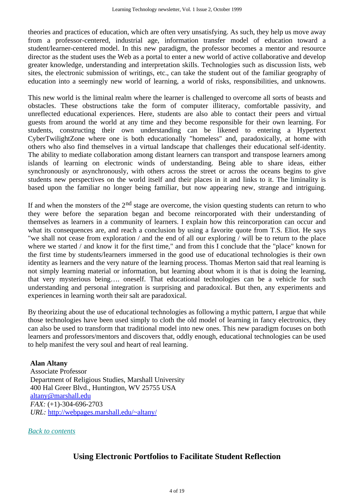theories and practices of education, which are often very unsatisfying. As such, they help us move away from a professor-centered, industrial age, information transfer model of education toward a student/learner-centered model. In this new paradigm, the professor becomes a mentor and resource director as the student uses the Web as a portal to enter a new world of active collaborative and develop greater knowledge, understanding and interpretation skills. Technologies such as discussion lists, web sites, the electronic submission of writings, etc., can take the student out of the familiar geography of education into a seemingly new world of learning, a world of risks, responsibilities, and unknowns.

This new world is the liminal realm where the learner is challenged to overcome all sorts of beasts and obstacles. These obstructions take the form of computer illiteracy, comfortable passivity, and unreflected educational experiences. Here, students are also able to contact their peers and virtual guests from around the world at any time and they become responsible for their own learning. For students, constructing their own understanding can be likened to entering a Hypertext CyberTwilightZone where one is both educationally "homeless" and, paradoxically, at home with others who also find themselves in a virtual landscape that challenges their educational self-identity. The ability to mediate collaboration among distant learners can transport and transpose learners among islands of learning on electronic winds of understanding. Being able to share ideas, either synchronously or asynchronously, with others across the street or across the oceans begins to give students new perspectives on the world itself and their places in it and links to it. The liminality is based upon the familiar no longer being familiar, but now appearing new, strange and intriguing.

If and when the monsters of the  $2<sup>nd</sup>$  stage are overcome, the vision questing students can return to who they were before the separation began and become reincorporated with their understanding of themselves as learners in a community of learners. I explain how this reincorporation can occur and what its consequences are, and reach a conclusion by using a favorite quote from T.S. Eliot. He says "we shall not cease from exploration / and the end of all our exploring / will be to return to the place where we started / and know it for the first time," and from this I conclude that the "place" known for the first time by students/learners immersed in the good use of educational technologies is their own identity as learners and the very nature of the learning process. Thomas Merton said that real learning is not simply learning material or information, but learning about whom it is that is doing the learning, that very mysterious being…. oneself. That educational technologies can be a vehicle for such understanding and personal integration is surprising and paradoxical. But then, any experiments and experiences in learning worth their salt are paradoxical.

By theorizing about the use of educational technologies as following a mythic pattern, I argue that while those technologies have been used simply to cloth the old model of learning in fancy electronics, they can also be used to transform that traditional model into new ones. This new paradigm focuses on both learners and professors/mentors and discovers that, oddly enough, educational technologies can be used to help manifest the very soul and heart of real learning.

## **Alan Altany**

Associate Professor Department of Religious Studies, Marshall University 400 Hal Greer Blvd., Huntington, WV 25755 USA altany@marshall.edu *FAX:* (+1)-304-696-2703 *URL:* http://webpages.marshall.edu/~altany/

*Back to contents*

# **Using Electronic Portfolios to Facilitate Student Reflection**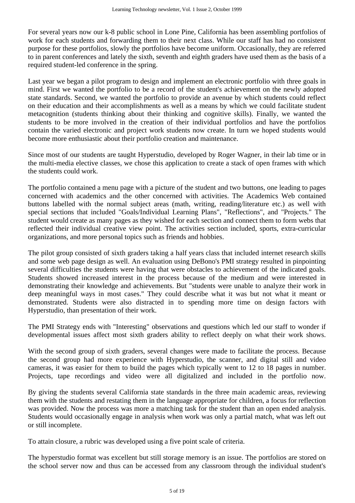For several years now our k-8 public school in Lone Pine, California has been assembling portfolios of work for each students and forwarding them to their next class. While our staff has had no consistent purpose for these portfolios, slowly the portfolios have become uniform. Occasionally, they are referred to in parent conferences and lately the sixth, seventh and eighth graders have used them as the basis of a required student-led conference in the spring.

Last year we began a pilot program to design and implement an electronic portfolio with three goals in mind. First we wanted the portfolio to be a record of the student's achievement on the newly adopted state standards. Second, we wanted the portfolio to provide an avenue by which students could reflect on their education and their accomplishments as well as a means by which we could facilitate student metacognition (students thinking about their thinking and cognitive skills). Finally, we wanted the students to be more involved in the creation of their individual portfolios and have the portfolios contain the varied electronic and project work students now create. In turn we hoped students would become more enthusiastic about their portfolio creation and maintenance.

Since most of our students are taught Hyperstudio, developed by Roger Wagner, in their lab time or in the multi-media elective classes, we chose this application to create a stack of open frames with which the students could work.

The portfolio contained a menu page with a picture of the student and two buttons, one leading to pages concerned with academics and the other concerned with activities. The Academics Web contained buttons labelled with the normal subject areas (math, writing, reading/literature etc.) as well with special sections that included "Goals/Individual Learning Plans", "Reflections", and "Projects." The student would create as many pages as they wished for each section and connect them to form webs that reflected their individual creative view point. The activities section included, sports, extra-curricular organizations, and more personal topics such as friends and hobbies.

The pilot group consisted of sixth graders taking a half years class that included internet research skills and some web page design as well. An evaluation using DeBono's PMI strategy resulted in pinpointing several difficulties the students were having that were obstacles to achievement of the indicated goals. Students showed increased interest in the process because of the medium and were interested in demonstrating their knowledge and achievements. But "students were unable to analyze their work in deep meaningful ways in most cases." They could describe what it was but not what it meant or demonstrated. Students were also distracted in to spending more time on design factors with Hyperstudio, than presentation of their work.

The PMI Strategy ends with "Interesting" observations and questions which led our staff to wonder if developmental issues affect most sixth graders ability to reflect deeply on what their work shows.

With the second group of sixth graders, several changes were made to facilitate the process. Because the second group had more experience with Hyperstudio, the scanner, and digital still and video cameras, it was easier for them to build the pages which typically went to 12 to 18 pages in number. Projects, tape recordings and video were all digitalized and included in the portfolio now.

By giving the students several California state standards in the three main academic areas, reviewing them with the students and restating them in the language appropriate for children, a focus for reflection was provided. Now the process was more a matching task for the student than an open ended analysis. Students would occasionally engage in analysis when work was only a partial match, what was left out or still incomplete.

To attain closure, a rubric was developed using a five point scale of criteria.

The hyperstudio format was excellent but still storage memory is an issue. The portfolios are stored on the school server now and thus can be accessed from any classroom through the individual student's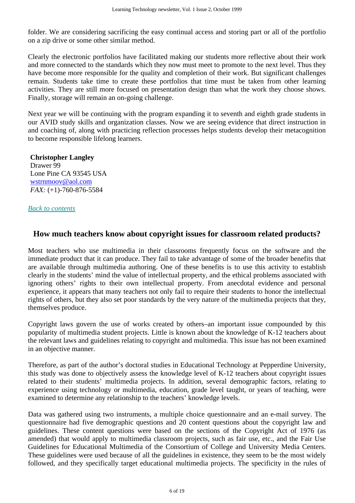folder. We are considering sacrificing the easy continual access and storing part or all of the portfolio on a zip drive or some other similar method.

Clearly the electronic portfolios have facilitated making our students more reflective about their work and more connected to the standards which they now must meet to promote to the next level. Thus they have become more responsible for the quality and completion of their work. But significant challenges remain. Students take time to create these portfolios that time must be taken from other learning activities. They are still more focused on presentation design than what the work they choose shows. Finally, storage will remain an on-going challenge.

Next year we will be continuing with the program expanding it to seventh and eighth grade students in our AVID study skills and organization classes. Now we are seeing evidence that direct instruction in and coaching of, along with practicing reflection processes helps students develop their metacognition to become responsible lifelong learners.

**Christopher Langley** Drawer 99 Lone Pine CA 93545 USA wstrnmoov@aol.com *FAX:* (+1)-760-876-5584

## *Back to contents*

# **How much teachers know about copyright issues for classroom related products?**

Most teachers who use multimedia in their classrooms frequently focus on the software and the immediate product that it can produce. They fail to take advantage of some of the broader benefits that are available through multimedia authoring. One of these benefits is to use this activity to establish clearly in the students' mind the value of intellectual property, and the ethical problems associated with ignoring others' rights to their own intellectual property. From anecdotal evidence and personal experience, it appears that many teachers not only fail to require their students to honor the intellectual rights of others, but they also set poor standards by the very nature of the multimedia projects that they, themselves produce.

Copyright laws govern the use of works created by others–an important issue compounded by this popularity of multimedia student projects. Little is known about the knowledge of K-12 teachers about the relevant laws and guidelines relating to copyright and multimedia. This issue has not been examined in an objective manner.

Therefore, as part of the author's doctoral studies in Educational Technology at Pepperdine University, this study was done to objectively assess the knowledge level of K-12 teachers about copyright issues related to their students' multimedia projects. In addition, several demographic factors, relating to experience using technology or multimedia, education, grade level taught, or years of teaching, were examined to determine any relationship to the teachers' knowledge levels.

Data was gathered using two instruments, a multiple choice questionnaire and an e-mail survey. The questionnaire had five demographic questions and 20 content questions about the copyright law and guidelines. These content questions were based on the sections of the Copyright Act of 1976 (as amended) that would apply to multimedia classroom projects, such as fair use, etc., and the Fair Use Guidelines for Educational Multimedia of the Consortium of College and University Media Centers. These guidelines were used because of all the guidelines in existence, they seem to be the most widely followed, and they specifically target educational multimedia projects. The specificity in the rules of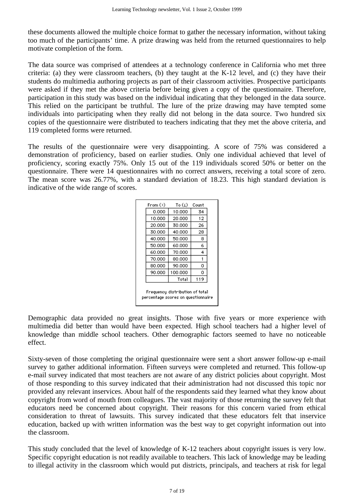these documents allowed the multiple choice format to gather the necessary information, without taking too much of the participants' time. A prize drawing was held from the returned questionnaires to help motivate completion of the form.

The data source was comprised of attendees at a technology conference in California who met three criteria: (a) they were classroom teachers, (b) they taught at the K-12 level, and (c) they have their students do multimedia authoring projects as part of their classroom activities. Prospective participants were asked if they met the above criteria before being given a copy of the questionnaire. Therefore, participation in this study was based on the individual indicating that they belonged in the data source. This relied on the participant be truthful. The lure of the prize drawing may have tempted some individuals into participating when they really did not belong in the data source. Two hundred six copies of the questionnaire were distributed to teachers indicating that they met the above criteria, and 119 completed forms were returned.

The results of the questionnaire were very disappointing. A score of 75% was considered a demonstration of proficiency, based on earlier studies. Only one individual achieved that level of proficiency, scoring exactly 75%. Only 15 out of the 119 individuals scored 50% or better on the questionnaire. There were 14 questionnaires with no correct answers, receiving a total score of zero. The mean score was 26.77%, with a standard deviation of 18.23. This high standard deviation is indicative of the wide range of scores.

| From $($ | To $(\zeta)$                                                          | Count |
|----------|-----------------------------------------------------------------------|-------|
| 0.000    | 10.000                                                                | 34    |
| 10.000   | 20,000                                                                | 12    |
| 20,000   | 30.000                                                                | 26    |
| 30,000   | 40.000                                                                | 28    |
| 40.000   | 50,000                                                                | 8     |
| 50,000   | 60.000                                                                | 6     |
| 60.000   | 70,000                                                                | 4     |
| 70.000   | 80.000                                                                | 1     |
| 80.000   | 90.000                                                                | 0     |
| 90.000   | 100.000                                                               | о     |
|          | Total                                                                 | 119   |
|          | Frequency distribution of total<br>percentage scores on questionnaire |       |

Demographic data provided no great insights. Those with five years or more experience with multimedia did better than would have been expected. High school teachers had a higher level of knowledge than middle school teachers. Other demographic factors seemed to have no noticeable effect.

Sixty-seven of those completing the original questionnaire were sent a short answer follow-up e-mail survey to gather additional information. Fifteen surveys were completed and returned. This follow-up e-mail survey indicated that most teachers are not aware of any district policies about copyright. Most of those responding to this survey indicated that their administration had not discussed this topic nor provided any relevant inservices. About half of the respondents said they learned what they know about copyright from word of mouth from colleagues. The vast majority of those returning the survey felt that educators need be concerned about copyright. Their reasons for this concern varied from ethical consideration to threat of lawsuits. This survey indicated that these educators felt that inservice education, backed up with written information was the best way to get copyright information out into the classroom.

This study concluded that the level of knowledge of K-12 teachers about copyright issues is very low. Specific copyright education is not readily available to teachers. This lack of knowledge may be leading to illegal activity in the classroom which would put districts, principals, and teachers at risk for legal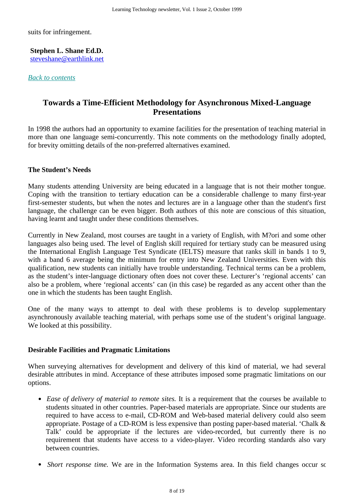suits for infringement.

**Stephen L. Shane Ed.D.** steveshane@earthlink.net

## *Back to contents*

# **Towards a Time-Efficient Methodology for Asynchronous Mixed-Language Presentations**

In 1998 the authors had an opportunity to examine facilities for the presentation of teaching material in more than one language semi-concurrently. This note comments on the methodology finally adopted, for brevity omitting details of the non-preferred alternatives examined.

## **The Student's Needs**

Many students attending University are being educated in a language that is not their mother tongue. Coping with the transition to tertiary education can be a considerable challenge to many first-year first-semester students, but when the notes and lectures are in a language other than the student's first language, the challenge can be even bigger. Both authors of this note are conscious of this situation, having learnt and taught under these conditions themselves.

Currently in New Zealand, most courses are taught in a variety of English, with M?ori and some other languages also being used. The level of English skill required for tertiary study can be measured using the International English Language Test Syndicate (IELTS) measure that ranks skill in bands 1 to 9, with a band 6 average being the minimum for entry into New Zealand Universities. Even with this qualification, new students can initially have trouble understanding. Technical terms can be a problem, as the student's inter-language dictionary often does not cover these. Lecturer's 'regional accents' can also be a problem, where 'regional accents' can (in this case) be regarded as any accent other than the one in which the students has been taught English.

One of the many ways to attempt to deal with these problems is to develop supplementary asynchronously available teaching material, with perhaps some use of the student's original language. We looked at this possibility.

## **Desirable Facilities and Pragmatic Limitations**

When surveying alternatives for development and delivery of this kind of material, we had several desirable attributes in mind. Acceptance of these attributes imposed some pragmatic limitations on our options.

- *Ease of delivery of material to remote sites.* It is a requirement that the courses be available to students situated in other countries. Paper-based materials are appropriate. Since our students are required to have access to e-mail, CD-ROM and Web-based material delivery could also seem appropriate. Postage of a CD-ROM is less expensive than posting paper-based material. 'Chalk & Talk' could be appropriate if the lectures are video-recorded, but currently there is no requirement that students have access to a video-player. Video recording standards also vary between countries.
- *Short response time.* We are in the Information Systems area. In this field changes occur so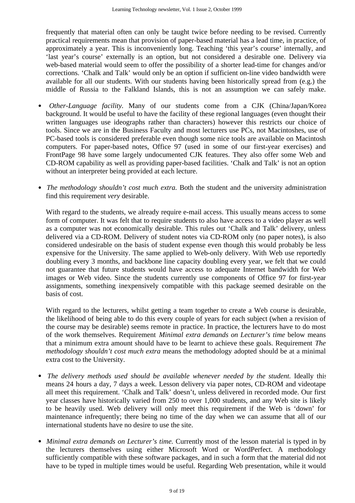frequently that material often can only be taught twice before needing to be revised. Currently practical requirements mean that provision of paper-based material has a lead time, in practice, of approximately a year. This is inconveniently long. Teaching 'this year's course' internally, and 'last year's course' externally is an option, but not considered a desirable one. Delivery via web-based material would seem to offer the possibility of a shorter lead-time for changes and/or corrections. 'Chalk and Talk' would only be an option if sufficient on-line video bandwidth were available for all our students. With our students having been historically spread from (e.g.) the middle of Russia to the Falkland Islands, this is not an assumption we can safely make.

- *Other-Language facility.* Many of our students come from a CJK (China/Japan/Korea background. It would be useful to have the facility of these regional languages (even thought their written languages use ideographs rather than characters) however this restricts our choice of tools. Since we are in the Business Faculty and most lecturers use PCs, not Macintoshes, use of PC-based tools is considered preferable even though some nice tools are available on Macintosh computers. For paper-based notes, Office 97 (used in some of our first-year exercises) and FrontPage 98 have some largely undocumented CJK features. They also offer some Web and CD-ROM capability as well as providing paper-based facilities. 'Chalk and Talk' is not an option without an interpreter being provided at each lecture.
- *The methodology shouldn't cost much extra.* Both the student and the university administration find this requirement *very* desirable.

With regard to the students, we already require e-mail access. This usually means access to some form of computer. It was felt that to require students to also have access to a video player as well as a computer was not economically desirable. This rules out 'Chalk and Talk' delivery, unless delivered via a CD-ROM. Delivery of student notes via CD-ROM only (no paper notes), is also considered undesirable on the basis of student expense even though this would probably be less expensive for the University. The same applied to Web-only delivery. With Web use reportedly doubling every 3 months, and backbone line capacity doubling every year, we felt that we could not guarantee that future students would have access to adequate Internet bandwidth for Web images or Web video. Since the students currently use components of Office 97 for first-year assignments, something inexpensively compatible with this package seemed desirable on the basis of cost.

With regard to the lecturers, whilst getting a team together to create a Web course is desirable, the likelihood of being able to do this every couple of years for each subject (when a revision of the course may be desirable) seems remote in practice. In practice, the lecturers have to do most of the work themselves. Requirement *Minimal extra demands on Lecturer's time* below means that a minimum extra amount should have to be learnt to achieve these goals. Requirement *The methodology shouldn't cost much extra* means the methodology adopted should be at a minimal extra cost to the University.

- *The delivery methods used should be available whenever needed by the student.* Ideally this means 24 hours a day, 7 days a week. Lesson delivery via paper notes, CD-ROM and videotape all meet this requirement. 'Chalk and Talk' doesn't, unless delivered in recorded mode. Our first year classes have historically varied from 250 to over 1,000 students, and any Web site is likely to be heavily used. Web delivery will only meet this requirement if the Web is 'down' for maintenance infrequently; there being no time of the day when we can assume that all of our international students have no desire to use the site.
- *Minimal extra demands on Lecturer's time.* Currently most of the lesson material is typed in by the lecturers themselves using either Microsoft Word or WordPerfect. A methodology sufficiently compatible with these software packages, and in such a form that the material did not have to be typed in multiple times would be useful. Regarding Web presentation, while it would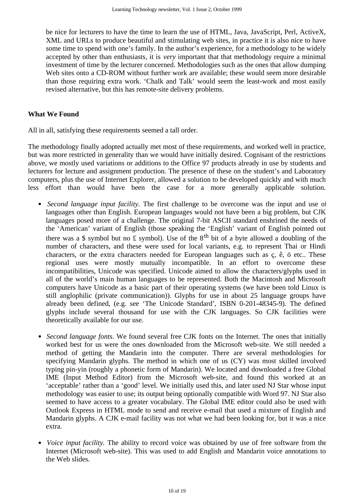be nice for lecturers to have the time to learn the use of HTML, Java, JavaScript, Perl, ActiveX, XML and URLs to produce beautiful and stimulating web sites, in practice it is also nice to have some time to spend with one's family. In the author's experience, for a methodology to be widely accepted by other than enthusiasts, it is *very* important that that methodology require a minimal investment of time by the lecturer concerned. Methodologies such as the ones that allow dumping Web sites onto a CD-ROM without further work are available; these would seem more desirable than those requiring extra work. 'Chalk and Talk' would seem the least-work and most easily revised alternative, but this has remote-site delivery problems.

## **What We Found**

All in all, satisfying these requirements seemed a tall order.

The methodology finally adopted actually met most of these requirements, and worked well in practice, but was more restricted in generality than we would have initially desired. Cognisant of the restrictions above, we mostly used variations or additions to the Office 97 products already in use by students and lecturers for lecture and assignment production. The presence of these on the student's and Laboratory computers, plus the use of Internet Explorer, allowed a solution to be developed quickly and with much less effort than would have been the case for a more generally applicable solution.

- *Second language input facility.* The first challenge to be overcome was the input and use of languages other than English. European languages would not have been a big problem, but CJK languages posed more of a challenge. The original 7-bit ASCII standard enshrined the needs of the 'American' variant of English (those speaking the 'English' variant of English pointed out there was a \$ symbol but no £ symbol). Use of the  $8<sup>th</sup>$  bit of a byte allowed a doubling of the number of characters, and these were used for local variants, e.g. to represent Thai or Hindi characters, or the extra characters needed for European languages such as ç, ê, ö etc.. These regional uses were mostly mutually incompatible. In an effort to overcome these incompatibilities, Unicode was specified. Unicode aimed to allow the characters/glyphs used in all of the world's main human languages to be represented. Both the Macintosh and Microsoft computers have Unicode as a basic part of their operating systems (we have been told Linux is still anglophilic (private communication)). Glyphs for use in about 25 language groups have already been defined, (e.g. see 'The Unicode Standard', ISBN 0-201-48345-9). The defined glyphs include several thousand for use with the CJK languages. So CJK facilities were theoretically available for our use.
- *Second language fonts.* We found several free CJK fonts on the Internet. The ones that initially worked best for us were the ones downloaded from the Microsoft web-site. We still needed a method of getting the Mandarin into the computer. There are several methodologies for specifying Mandarin glyphs. The method in which one of us (CY) was most skilled involved typing pin-yin (roughly a phonetic form of Mandarin). We located and downloaded a free Global IME (Input Method Editor) from the Microsoft web-site, and found this worked at an 'acceptable' rather than a 'good' level. We initially used this, and later used NJ Star whose input methodology was easier to use; its output being optionally compatible with Word 97. NJ Star also seemed to have access to a greater vocabulary. The Global IME editor could also be used with Outlook Express in HTML mode to send and receive e-mail that used a mixture of English and Mandarin glyphs. A CJK e-mail facility was not what we had been looking for, but it was a nice extra.
- *Voice input facility.* The ability to record voice was obtained by use of free software from the Internet (Microsoft web-site). This was used to add English and Mandarin voice annotations to the Web slides.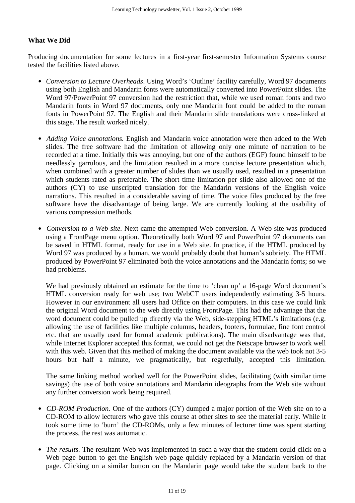## **What We Did**

Producing documentation for some lectures in a first-year first-semester Information Systems course tested the facilities listed above.

- *Conversion to Lecture Overheads*. Using Word's 'Outline' facility carefully, Word 97 documents using both English and Mandarin fonts were automatically converted into PowerPoint slides. The Word 97/PowerPoint 97 conversion had the restriction that, while we used roman fonts and two Mandarin fonts in Word 97 documents, only one Mandarin font could be added to the roman fonts in PowerPoint 97. The English and their Mandarin slide translations were cross-linked at this stage. The result worked nicely.
- *Adding Voice annotations.* English and Mandarin voice annotation were then added to the Web slides. The free software had the limitation of allowing only one minute of narration to be recorded at a time. Initially this was annoying, but one of the authors (EGF) found himself to be needlessly garrulous, and the limitation resulted in a more concise lecture presentation which, when combined with a greater number of slides than we usually used, resulted in a presentation which students rated as preferable. The short time limitation per slide also allowed one of the authors (CY) to use unscripted translation for the Mandarin versions of the English voice narrations. This resulted in a considerable saving of time. The voice files produced by the free software have the disadvantage of being large. We are currently looking at the usability of various compression methods.
- *Conversion to a Web site.* Next came the attempted Web conversion. A Web site was produced using a FrontPage menu option. Theoretically both Word 97 and PowerPoint 97 documents can be saved in HTML format, ready for use in a Web site. In practice, if the HTML produced by Word 97 was produced by a human, we would probably doubt that human's sobriety. The HTML produced by PowerPoint 97 eliminated both the voice annotations and the Mandarin fonts; so we had problems.

We had previously obtained an estimate for the time to 'clean up' a 16-page Word document's HTML conversion ready for web use; two WebCT users independently estimating 3-5 hours. However in our environment all users had Office on their computers. In this case we could link the original Word document to the web directly using FrontPage. This had the advantage that the word document could be pulled up directly via the Web, side-stepping HTML's limitations (e.g. allowing the use of facilities like multiple columns, headers, footers, formulae, fine font control etc. that are usually used for formal academic publications). The main disadvantage was that, while Internet Explorer accepted this format, we could not get the Netscape browser to work well with this web. Given that this method of making the document available via the web took not 3-5 hours but half a minute, we pragmatically, but regretfully, accepted this limitation.

The same linking method worked well for the PowerPoint slides, facilitating (with similar time savings) the use of both voice annotations and Mandarin ideographs from the Web site without any further conversion work being required.

- *CD-ROM Production.* One of the authors (CY) dumped a major portion of the Web site on to a CD-ROM to allow lecturers who gave this course at other sites to see the material early. While it took some time to 'burn' the CD-ROMs, only a few minutes of lecturer time was spent starting the process, the rest was automatic.
- *The results*. The resultant Web was implemented in such a way that the student could click on a Web page button to get the English web page quickly replaced by a Mandarin version of that page. Clicking on a similar button on the Mandarin page would take the student back to the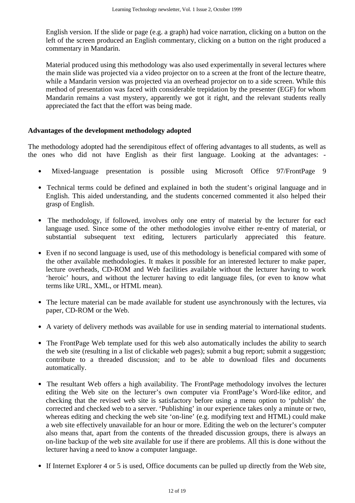English version. If the slide or page (e.g. a graph) had voice narration, clicking on a button on the left of the screen produced an English commentary, clicking on a button on the right produced a commentary in Mandarin.

Material produced using this methodology was also used experimentally in several lectures where the main slide was projected via a video projector on to a screen at the front of the lecture theatre, while a Mandarin version was projected via an overhead projector on to a side screen. While this method of presentation was faced with considerable trepidation by the presenter (EGF) for whom Mandarin remains a vast mystery, apparently we got it right, and the relevant students really appreciated the fact that the effort was being made.

## **Advantages of the development methodology adopted**

The methodology adopted had the serendipitous effect of offering advantages to all students, as well as the ones who did not have English as their first language. Looking at the advantages: -

- Mixed-language presentation is possible using Microsoft Office 97/FrontPage 9
- Technical terms could be defined and explained in both the student's original language and in English. This aided understanding, and the students concerned commented it also helped their grasp of English.
- The methodology, if followed, involves only one entry of material by the lecturer for each language used. Since some of the other methodologies involve either re-entry of material, or substantial subsequent text editing, lecturers particularly appreciated this feature.
- Even if no second language is used, use of this methodology is beneficial compared with some of the other available methodologies. It makes it possible for an interested lecturer to make paper, lecture overheads, CD-ROM and Web facilities available without the lecturer having to work 'heroic' hours, and without the lecturer having to edit language files, (or even to know what terms like URL, XML, or HTML mean).
- The lecture material can be made available for student use asynchronously with the lectures, via paper, CD-ROM or the Web.
- A variety of delivery methods was available for use in sending material to international students.
- The FrontPage Web template used for this web also automatically includes the ability to search the web site (resulting in a list of clickable web pages); submit a bug report; submit a suggestion; contribute to a threaded discussion; and to be able to download files and documents automatically.
- The resultant Web offers a high availability. The FrontPage methodology involves the lecturer editing the Web site on the lecturer's own computer via FrontPage's Word-like editor, and checking that the revised web site is satisfactory before using a menu option to 'publish' the corrected and checked web to a server. 'Publishing' in our experience takes only a minute or two, whereas editing and checking the web site 'on-line' (e.g. modifying text and HTML) could make a web site effectively unavailable for an hour or more. Editing the web on the lecturer's computer also means that, apart from the contents of the threaded discussion groups, there is always an on-line backup of the web site available for use if there are problems. All this is done without the lecturer having a need to know a computer language.
- If Internet Explorer 4 or 5 is used, Office documents can be pulled up directly from the Web site,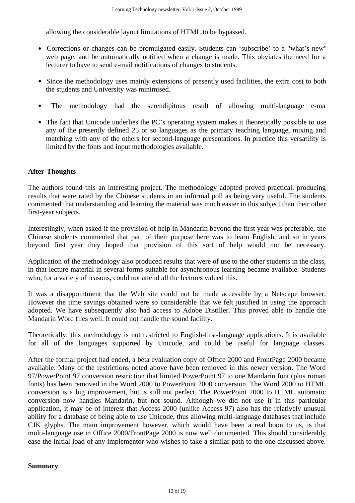allowing the considerable layout limitations of HTML to be bypassed.

- Corrections or changes can be promulgated easily. Students can 'subscribe' to a "what's new" web page, and be automatically notified when a change is made. This obviates the need for a lecturer to have to send e-mail notifications of changes to students.
- Since the methodology uses mainly extensions of presently used facilities, the extra cost to both the students and University was minimised.
- The methodology had the serendipitous result of allowing multi-language e-mai
- The fact that Unicode underlies the PC's operating system makes it theoretically possible to use any of the presently defined 25 or so languages as the primary teaching language, mixing and matching with any of the others for second-language presentations. In practice this versatility is limited by the fonts and input methodologies available.

## **After-Thoughts**

The authors found this an interesting project. The methodology adopted proved practical, producing results that were rated by the Chinese students in an informal poll as being very useful. The students commented that understanding and learning the material was much easier in this subject than their other first-year subjects.

Interestingly, when asked if the provision of help in Mandarin beyond the first year was preferable, the Chinese students commented that part of their purpose here was to learn English, and so in years beyond first year they hoped that provision of this sort of help would not be necessary.

Application of the methodology also produced results that were of use to the other students in the class, in that lecture material in several forms suitable for asynchronous learning became available. Students who, for a variety of reasons, could not attend all the lectures valued this.

It was a disappointment that the Web site could not be made accessible by a Netscape browser. However the time savings obtained were so considerable that we felt justified in using the approach adopted. We have subsequently also had access to Adobe Distiller. This proved able to handle the Mandarin Word files well. It could not handle the sound facility.

Theoretically, this methodology is not restricted to English-first-language applications. It is available for all of the languages supported by Unicode, and could be useful for language classes.

After the formal project had ended, a beta evaluation copy of Office 2000 and FrontPage 2000 became available. Many of the restrictions noted above have been removed in this newer version. The Word 97/PowerPoint 97 conversion restriction that limited PowerPoint 97 to one Mandarin font (plus roman fonts) has been removed in the Word 2000 to PowerPoint 2000 conversion. The Word 2000 to HTML conversion is a big improvement, but is still not perfect. The PowerPoint 2000 to HTML automatic conversion now handles Mandarin, but not sound. Although we did not use it in this particular application, it may be of interest that Access 2000 (unlike Access 97) also has the relatively unusual ability for a database of being able to use Unicode, thus allowing multi-language databases that include CJK glyphs. The main improvement however, which would have been a real boon to us, is that multi-language use in Office 2000/FrontPage 2000 is now well documented. This should considerably ease the initial load of any implementor who wishes to take a similar path to the one discussed above.

#### **Summary**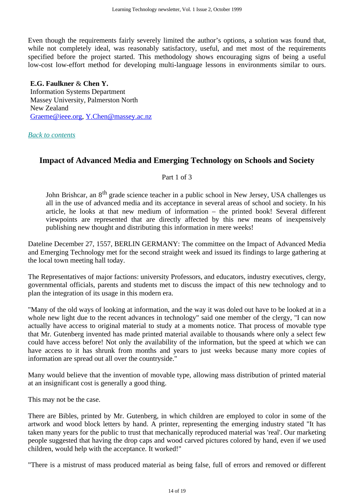Even though the requirements fairly severely limited the author's options, a solution was found that, while not completely ideal, was reasonably satisfactory, useful, and met most of the requirements specified before the project started. This methodology shows encouraging signs of being a useful low-cost low-effort method for developing multi-language lessons in environments similar to ours.

**E.G. Faulkner** & **Chen Y.** Information Systems Department Massey University, Palmerston North New Zealand Graeme@ieee.org, Y.Chen@massey.ac.nz

*Back to contents*

# **Impact of Advanced Media and Emerging Technology on Schools and Society**

Part 1 of 3

John Brishcar, an 8<sup>th</sup> grade science teacher in a public school in New Jersey, USA challenges us all in the use of advanced media and its acceptance in several areas of school and society. In his article, he looks at that new medium of information – the printed book! Several different viewpoints are represented that are directly affected by this new means of inexpensively publishing new thought and distributing this information in mere weeks!

Dateline December 27, 1557, BERLIN GERMANY: The committee on the Impact of Advanced Media and Emerging Technology met for the second straight week and issued its findings to large gathering at the local town meeting hall today.

The Representatives of major factions: university Professors, and educators, industry executives, clergy, governmental officials, parents and students met to discuss the impact of this new technology and to plan the integration of its usage in this modern era.

"Many of the old ways of looking at information, and the way it was doled out have to be looked at in a whole new light due to the recent advances in technology" said one member of the clergy, "I can now actually have access to original material to study at a moments notice. That process of movable type that Mr. Gutenberg invented has made printed material available to thousands where only a select few could have access before! Not only the availability of the information, but the speed at which we can have access to it has shrunk from months and years to just weeks because many more copies of information are spread out all over the countryside."

Many would believe that the invention of movable type, allowing mass distribution of printed material at an insignificant cost is generally a good thing.

This may not be the case.

There are Bibles, printed by Mr. Gutenberg, in which children are employed to color in some of the artwork and wood block letters by hand. A printer, representing the emerging industry stated "It has taken many years for the public to trust that mechanically reproduced material was 'real'. Our marketing people suggested that having the drop caps and wood carved pictures colored by hand, even if we used children, would help with the acceptance. It worked!"

"There is a mistrust of mass produced material as being false, full of errors and removed or different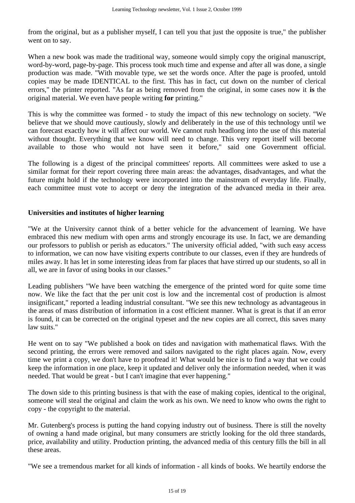from the original, but as a publisher myself, I can tell you that just the opposite is true," the publisher went on to say.

When a new book was made the traditional way, someone would simply copy the original manuscript, word-by-word, page-by-page. This process took much time and expense and after all was done, a single production was made. "With movable type, we set the words once. After the page is proofed, untold copies may be made IDENTICAL to the first. This has in fact, cut down on the number of clerical errors," the printer reported. "As far as being removed from the original, in some cases now it **is** the original material. We even have people writing **for** printing."

This is why the committee was formed - to study the impact of this new technology on society. "We believe that we should move cautiously, slowly and deliberately in the use of this technology until we can forecast exactly how it will affect our world. We cannot rush headlong into the use of this material without thought. Everything that we know will need to change. This very report itself will become available to those who would not have seen it before," said one Government official.

The following is a digest of the principal committees' reports. All committees were asked to use a similar format for their report covering three main areas: the advantages, disadvantages, and what the future might hold if the technology were incorporated into the mainstream of everyday life. Finally, each committee must vote to accept or deny the integration of the advanced media in their area.

## **Universities and institutes of higher learning**

"We at the University cannot think of a better vehicle for the advancement of learning. We have embraced this new medium with open arms and strongly encourage its use. In fact, we are demanding our professors to publish or perish as educators." The university official added, "with such easy access to information, we can now have visiting experts contribute to our classes, even if they are hundreds of miles away. It has let in some interesting ideas from far places that have stirred up our students, so all in all, we are in favor of using books in our classes."

Leading publishers "We have been watching the emergence of the printed word for quite some time now. We like the fact that the per unit cost is low and the incremental cost of production is almost insignificant," reported a leading industrial consultant. "We see this new technology as advantageous in the areas of mass distribution of information in a cost efficient manner. What is great is that if an error is found, it can be corrected on the original typeset and the new copies are all correct, this saves many law suits."

He went on to say "We published a book on tides and navigation with mathematical flaws. With the second printing, the errors were removed and sailors navigated to the right places again. Now, every time we print a copy, we don't have to proofread it! What would be nice is to find a way that we could keep the information in one place, keep it updated and deliver only the information needed, when it was needed. That would be great - but I can't imagine that ever happening."

The down side to this printing business is that with the ease of making copies, identical to the original, someone will steal the original and claim the work as his own. We need to know who owns the right to copy - the copyright to the material.

Mr. Gutenberg's process is putting the hand copying industry out of business. There is still the novelty of owning a hand made original, but many consumers are strictly looking for the old three standards, price, availability and utility. Production printing, the advanced media of this century fills the bill in all these areas.

"We see a tremendous market for all kinds of information - all kinds of books. We heartily endorse the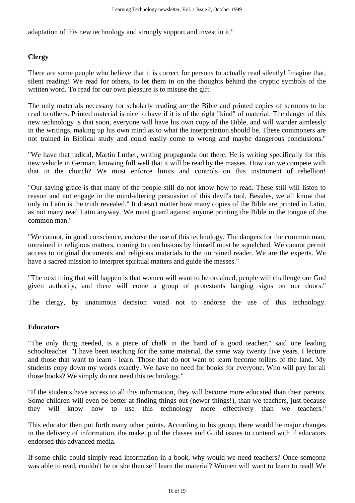adaptation of this new technology and strongly support and invest in it."

## **Clergy**

There are some people who believe that it is correct for persons to actually read silently! Imagine that, silent reading! We read for others, to let them in on the thoughts behind the cryptic symbols of the written word. To read for our own pleasure is to misuse the gift.

The only materials necessary for scholarly reading are the Bible and printed copies of sermons to be read to others. Printed material is nice to have if it is of the right "kind" of material. The danger of this new technology is that soon, everyone will have his own copy of the Bible, and will wander aimlessly in the writings, making up his own mind as to what the interpretation should be. These commoners are not trained in Biblical study and could easily come to wrong and maybe dangerous conclusions."

"We have that radical, Martin Luther, writing propaganda out there. He is writing specifically for this new vehicle in German, knowing full well that it will be read by the masses. How can we compete with that in the church? We must enforce limits and controls on this instrument of rebellion!

"Our saving grace is that many of the people still do not know how to read. These still will listen to reason and not engage in the mind-altering persuasion of this devil's tool. Besides, we all know that only in Latin is the truth revealed." It doesn't matter how many copies of the Bible are printed in Latin, as not many read Latin anyway. We must guard against anyone printing the Bible in the tongue of the common man."

"We cannot, in good conscience, endorse the use of this technology. The dangers for the common man, untrained in religious matters, coming to conclusions by himself must be squelched. We cannot permit access to original documents and religious materials to the untrained reader. We are the experts. We have a sacred mission to interpret spiritual matters and guide the masses."

"The next thing that will happen is that women will want to be ordained, people will challenge our God given authority, and there will come a group of protestants hanging signs on our doors."

The clergy, by unanimous decision voted not to endorse the use of this technology.

## **Educators**

"The only thing needed, is a piece of chalk in the hand of a good teacher," said one leading schoolteacher. "I have been teaching for the same material, the same way twenty five years. I lecture and those that want to learn - learn. Those that do not want to learn become toilers of the land. My students copy down my words exactly. We have no need for books for everyone. Who will pay for all those books? We simply do not need this technology."

"If the students have access to all this information, they will become more educated than their parents. Some children will even be better at finding things out (newer things!), than we teachers, just because they will know how to use this technology more effectively than we teachers."

This educator then put forth many other points. According to his group, there would be major changes in the delivery of information, the makeup of the classes and Guild issues to contend with if educators endorsed this advanced media.

If some child could simply read information in a book, why would we need teachers? Once someone was able to read, couldn't he or she then self learn the material? Women will want to learn to read! We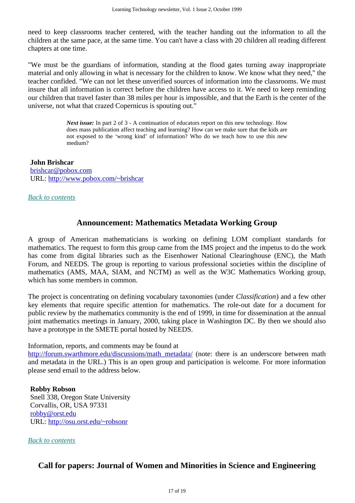need to keep classrooms teacher centered, with the teacher handing out the information to all the children at the same pace, at the same time. You can't have a class with 20 children all reading different chapters at one time.

"We must be the guardians of information, standing at the flood gates turning away inappropriate material and only allowing in what is necessary for the children to know. We know what they need," the teacher confided. "We can not let these unverified sources of information into the classrooms. We must insure that all information is correct before the children have access to it. We need to keep reminding our children that travel faster than 38 miles per hour is impossible, and that the Earth is the center of the universe, not what that crazed Copernicus is spouting out."

> *Next issue:* In part 2 of 3 - A continuation of educators report on this new technology. How does mass publication affect teaching and learning? How can we make sure that the kids are not exposed to the 'wrong kind' of information? Who do we teach how to use this new medium?

**John Brishcar** brishcar@pobox.com URL: http://www.pobox.com/~brishcar

#### *Back to contents*

# **Announcement: Mathematics Metadata Working Group**

A group of American mathematicians is working on defining LOM compliant standards for mathematics. The request to form this group came from the IMS project and the impetus to do the work has come from digital libraries such as the Eisenhower National Clearinghouse (ENC), the Math Forum, and NEEDS. The group is reporting to various professional societies within the discipline of mathematics (AMS, MAA, SIAM, and NCTM) as well as the W3C Mathematics Working group, which has some members in common.

The project is concentrating on defining vocabulary taxonomies (under *Classification*) and a few other key elements that require specific attention for mathematics. The role-out date for a document for public review by the mathematics community is the end of 1999, in time for dissemination at the annual joint mathematics meetings in January, 2000, taking place in Washington DC. By then we should also have a prototype in the SMETE portal hosted by NEEDS.

Information, reports, and comments may be found at

http://forum.swarthmore.edu/discussions/math\_metadata/ (note: there is an underscore between math and metadata in the URL.) This is an open group and participation is welcome. For more information please send email to the address below.

**Robby Robson** Snell 338, Oregon State University Corvallis, OR, USA 97331 robby@orst.edu URL: http://osu.orst.edu/~robsonr

*Back to contents*

# **Call for papers: Journal of Women and Minorities in Science and Engineering**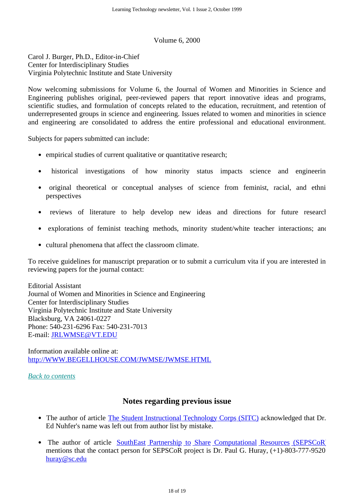## Volume 6, 2000

Carol J. Burger, Ph.D., Editor-in-Chief Center for Interdisciplinary Studies Virginia Polytechnic Institute and State University

Now welcoming submissions for Volume 6, the Journal of Women and Minorities in Science and Engineering publishes original, peer-reviewed papers that report innovative ideas and programs, scientific studies, and formulation of concepts related to the education, recruitment, and retention of underrepresented groups in science and engineering. Issues related to women and minorities in science and engineering are consolidated to address the entire professional and educational environment.

Subjects for papers submitted can include:

- empirical studies of current qualitative or quantitative research;
- historical investigations of how minority status impacts science and engineerin
- original theoretical or conceptual analyses of science from feminist, racial, and ethni perspectives
- reviews of literature to help develop new ideas and directions for future research
- explorations of feminist teaching methods, minority student/white teacher interactions; and
- cultural phenomena that affect the classroom climate.

To receive guidelines for manuscript preparation or to submit a curriculum vita if you are interested in reviewing papers for the journal contact:

Editorial Assistant Journal of Women and Minorities in Science and Engineering Center for Interdisciplinary Studies Virginia Polytechnic Institute and State University Blacksburg, VA 24061-0227 Phone: 540-231-6296 Fax: 540-231-7013 E-mail: JRLWMSE@VT.EDU

Information available online at: http://WWW.BEGELLHOUSE.COM/JWMSE/JWMSE.HTML

*Back to contents*

## **Notes regarding previous issue**

- The author of article The Student Instructional Technology Corps (SITC) acknowledged that Dr. Ed Nuhfer's name was left out from author list by mistake.
- The author of article SouthEast Partnership to Share Computational Resources (SEPSCoR) mentions that the contact person for SEPSCoR project is Dr. Paul G. Huray, (+1)-803-777-9520 huray@sc.edu